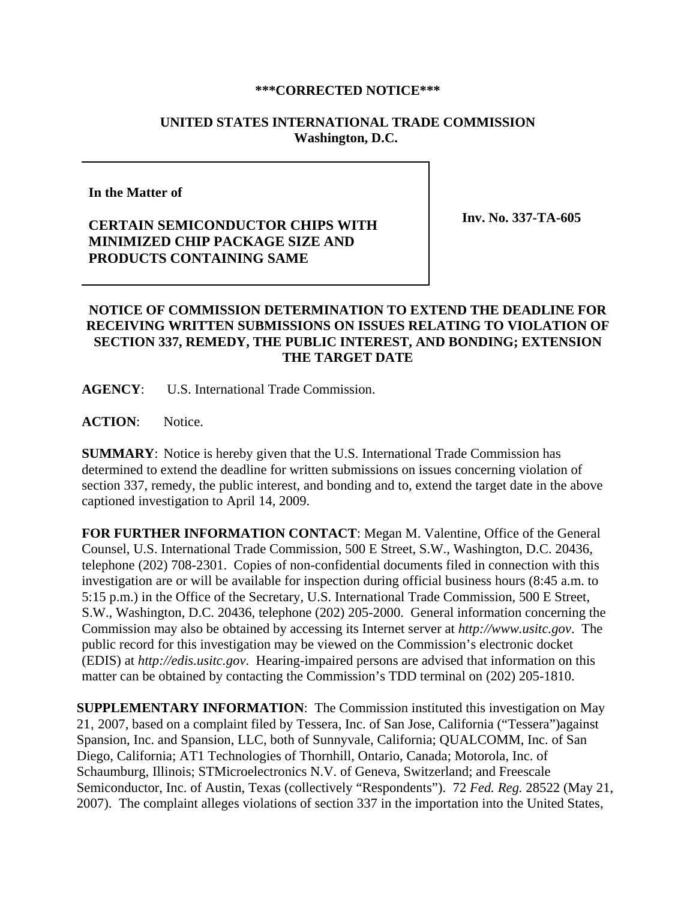## **\*\*\*CORRECTED NOTICE\*\*\***

## **UNITED STATES INTERNATIONAL TRADE COMMISSION Washington, D.C.**

**In the Matter of** 

## **CERTAIN SEMICONDUCTOR CHIPS WITH MINIMIZED CHIP PACKAGE SIZE AND PRODUCTS CONTAINING SAME**

**Inv. No. 337-TA-605**

## **NOTICE OF COMMISSION DETERMINATION TO EXTEND THE DEADLINE FOR RECEIVING WRITTEN SUBMISSIONS ON ISSUES RELATING TO VIOLATION OF SECTION 337, REMEDY, THE PUBLIC INTEREST, AND BONDING; EXTENSION THE TARGET DATE**

**AGENCY**: U.S. International Trade Commission.

**ACTION**: Notice.

**SUMMARY**: Notice is hereby given that the U.S. International Trade Commission has determined to extend the deadline for written submissions on issues concerning violation of section 337, remedy, the public interest, and bonding and to, extend the target date in the above captioned investigation to April 14, 2009.

**FOR FURTHER INFORMATION CONTACT**: Megan M. Valentine, Office of the General Counsel, U.S. International Trade Commission, 500 E Street, S.W., Washington, D.C. 20436, telephone (202) 708-2301. Copies of non-confidential documents filed in connection with this investigation are or will be available for inspection during official business hours (8:45 a.m. to 5:15 p.m.) in the Office of the Secretary, U.S. International Trade Commission, 500 E Street, S.W., Washington, D.C. 20436, telephone (202) 205-2000. General information concerning the Commission may also be obtained by accessing its Internet server at *http://www.usitc.gov*. The public record for this investigation may be viewed on the Commission's electronic docket (EDIS) at *http://edis.usitc.gov*. Hearing-impaired persons are advised that information on this matter can be obtained by contacting the Commission's TDD terminal on (202) 205-1810.

**SUPPLEMENTARY INFORMATION**: The Commission instituted this investigation on May 21, 2007, based on a complaint filed by Tessera, Inc. of San Jose, California ("Tessera")against Spansion, Inc. and Spansion, LLC, both of Sunnyvale, California; QUALCOMM, Inc. of San Diego, California; AT1 Technologies of Thornhill, Ontario, Canada; Motorola, Inc. of Schaumburg, Illinois; STMicroelectronics N.V. of Geneva, Switzerland; and Freescale Semiconductor, Inc. of Austin, Texas (collectively "Respondents"). 72 *Fed. Reg.* 28522 (May 21, 2007). The complaint alleges violations of section 337 in the importation into the United States,